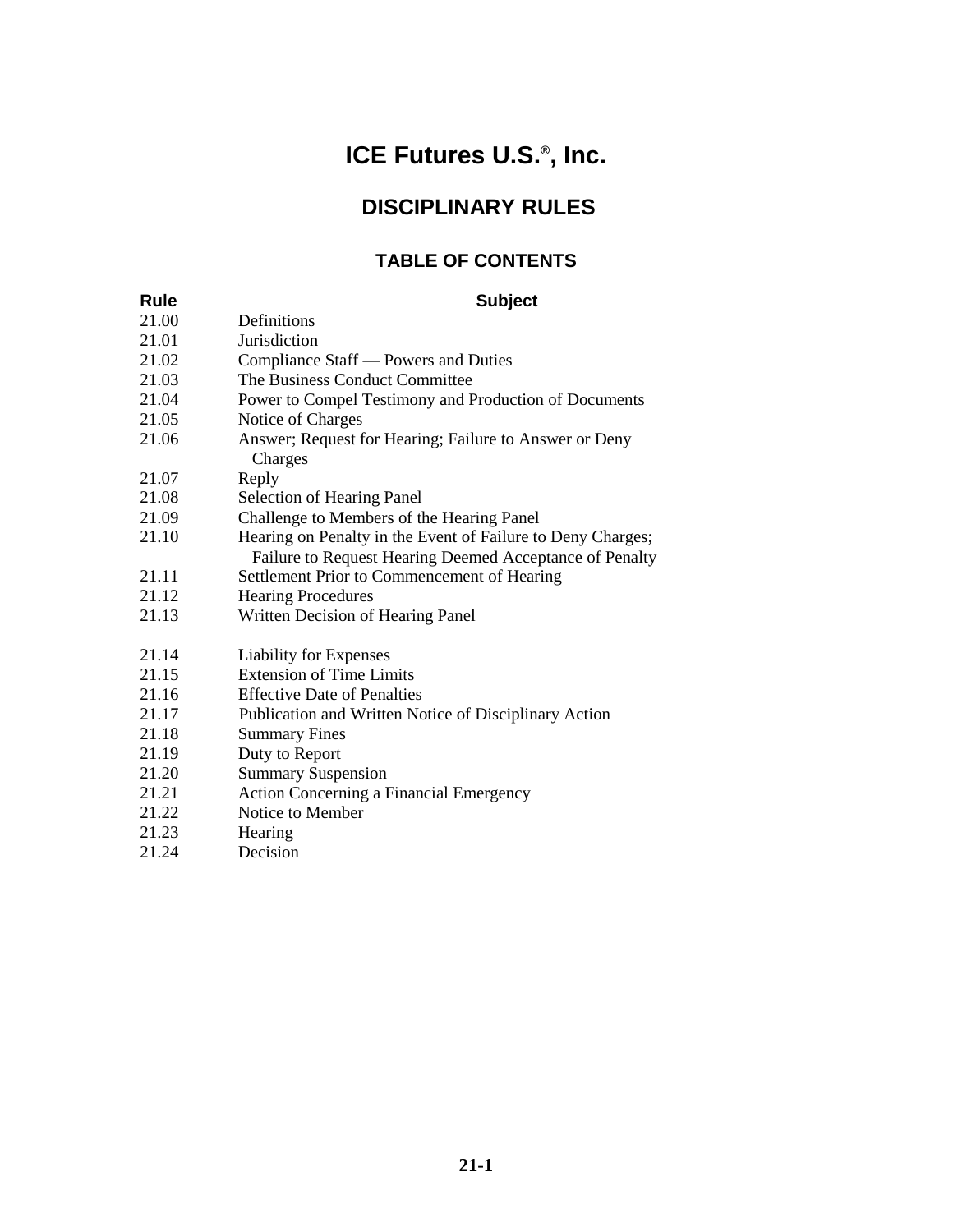# **ICE Futures U.S.® , Inc.**

# **DISCIPLINARY RULES**

## **TABLE OF CONTENTS**

| Rule  | <b>Subject</b>                                                                                                         |
|-------|------------------------------------------------------------------------------------------------------------------------|
| 21.00 | Definitions                                                                                                            |
| 21.01 | Jurisdiction                                                                                                           |
| 21.02 | Compliance Staff — Powers and Duties                                                                                   |
| 21.03 | The Business Conduct Committee                                                                                         |
| 21.04 | Power to Compel Testimony and Production of Documents                                                                  |
| 21.05 | Notice of Charges                                                                                                      |
| 21.06 | Answer; Request for Hearing; Failure to Answer or Deny<br>Charges                                                      |
| 21.07 | Reply                                                                                                                  |
| 21.08 | <b>Selection of Hearing Panel</b>                                                                                      |
| 21.09 | Challenge to Members of the Hearing Panel                                                                              |
| 21.10 | Hearing on Penalty in the Event of Failure to Deny Charges;<br>Failure to Request Hearing Deemed Acceptance of Penalty |
| 21.11 | Settlement Prior to Commencement of Hearing                                                                            |
| 21.12 | <b>Hearing Procedures</b>                                                                                              |
| 21.13 | Written Decision of Hearing Panel                                                                                      |
| 21.14 | Liability for Expenses                                                                                                 |
| 21.15 | <b>Extension of Time Limits</b>                                                                                        |
| 21.16 | <b>Effective Date of Penalties</b>                                                                                     |
| 21.17 | Publication and Written Notice of Disciplinary Action                                                                  |
| 21.18 | <b>Summary Fines</b>                                                                                                   |
| 21.19 | Duty to Report                                                                                                         |
| 21.20 | <b>Summary Suspension</b>                                                                                              |
| 21.21 | <b>Action Concerning a Financial Emergency</b>                                                                         |
| 21.22 | Notice to Member                                                                                                       |
| 21.23 | Hearing                                                                                                                |

21.24 Decision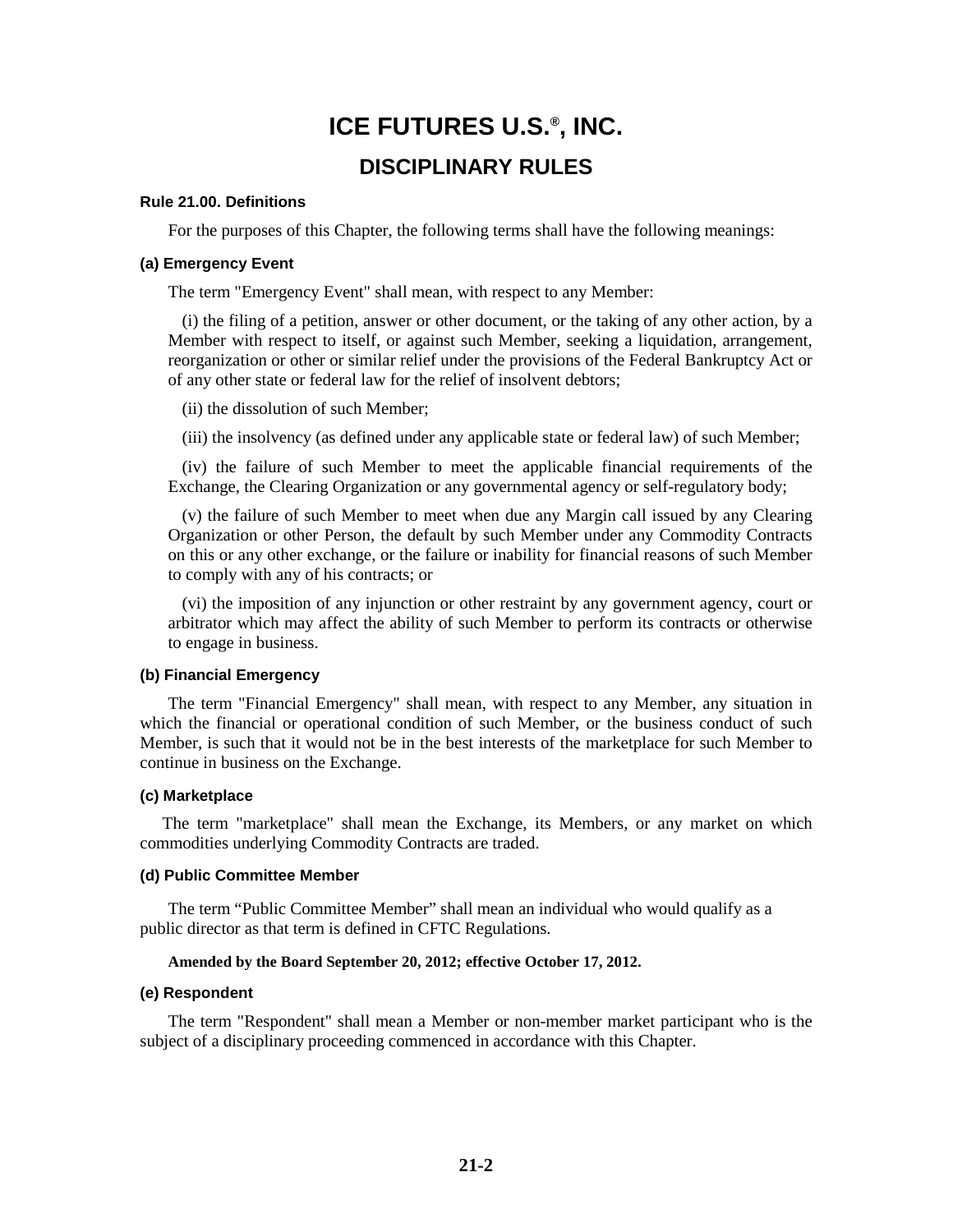# **ICE FUTURES U.S.® , INC. DISCIPLINARY RULES**

#### **Rule 21.00. Definitions**

For the purposes of this Chapter, the following terms shall have the following meanings:

#### **(a) Emergency Event**

The term "Emergency Event" shall mean, with respect to any Member:

(i) the filing of a petition, answer or other document, or the taking of any other action, by a Member with respect to itself, or against such Member, seeking a liquidation, arrangement, reorganization or other or similar relief under the provisions of the Federal Bankruptcy Act or of any other state or federal law for the relief of insolvent debtors;

(ii) the dissolution of such Member;

(iii) the insolvency (as defined under any applicable state or federal law) of such Member;

(iv) the failure of such Member to meet the applicable financial requirements of the Exchange, the Clearing Organization or any governmental agency or self-regulatory body;

(v) the failure of such Member to meet when due any Margin call issued by any Clearing Organization or other Person, the default by such Member under any Commodity Contracts on this or any other exchange, or the failure or inability for financial reasons of such Member to comply with any of his contracts; or

(vi) the imposition of any injunction or other restraint by any government agency, court or arbitrator which may affect the ability of such Member to perform its contracts or otherwise to engage in business.

#### **(b) Financial Emergency**

The term "Financial Emergency" shall mean, with respect to any Member, any situation in which the financial or operational condition of such Member, or the business conduct of such Member, is such that it would not be in the best interests of the marketplace for such Member to continue in business on the Exchange.

#### **(c) Marketplace**

The term "marketplace" shall mean the Exchange, its Members, or any market on which commodities underlying Commodity Contracts are traded.

#### **(d) Public Committee Member**

The term "Public Committee Member" shall mean an individual who would qualify as a public director as that term is defined in CFTC Regulations.

#### **Amended by the Board September 20, 2012; effective October 17, 2012.**

#### **(e) Respondent**

The term "Respondent" shall mean a Member or non-member market participant who is the subject of a disciplinary proceeding commenced in accordance with this Chapter.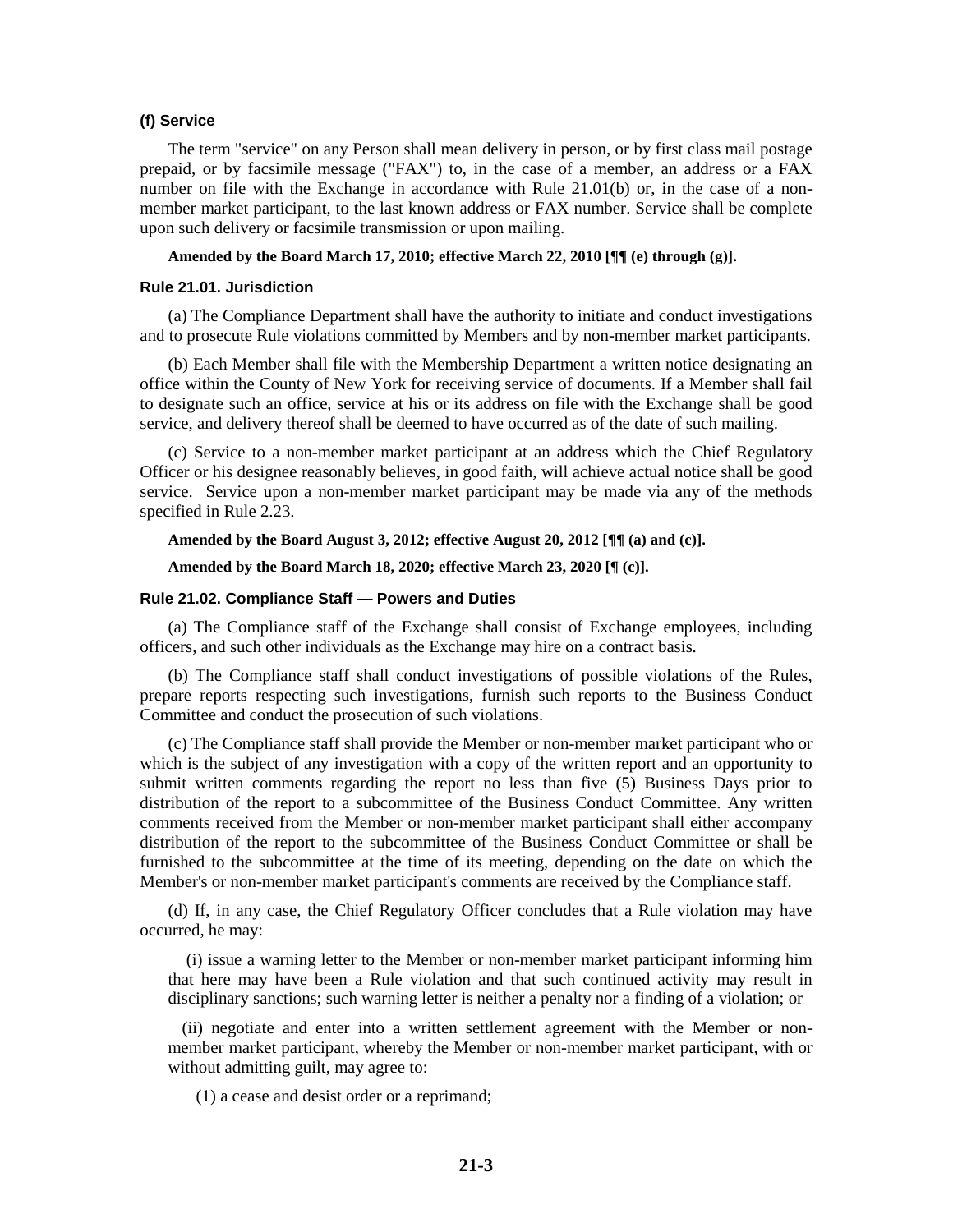#### **(f) Service**

The term "service" on any Person shall mean delivery in person, or by first class mail postage prepaid, or by facsimile message ("FAX") to, in the case of a member, an address or a FAX number on file with the Exchange in accordance with Rule 21.01(b) or, in the case of a nonmember market participant, to the last known address or FAX number. Service shall be complete upon such delivery or facsimile transmission or upon mailing.

#### **Amended by the Board March 17, 2010; effective March 22, 2010 [¶¶ (e) through (g)].**

#### **Rule 21.01. Jurisdiction**

(a) The Compliance Department shall have the authority to initiate and conduct investigations and to prosecute Rule violations committed by Members and by non-member market participants.

(b) Each Member shall file with the Membership Department a written notice designating an office within the County of New York for receiving service of documents. If a Member shall fail to designate such an office, service at his or its address on file with the Exchange shall be good service, and delivery thereof shall be deemed to have occurred as of the date of such mailing.

(c) Service to a non-member market participant at an address which the Chief Regulatory Officer or his designee reasonably believes, in good faith, will achieve actual notice shall be good service. Service upon a non-member market participant may be made via any of the methods specified in Rule 2.23.

**Amended by the Board August 3, 2012; effective August 20, 2012 [¶¶ (a) and (c)].**

**Amended by the Board March 18, 2020; effective March 23, 2020 [¶ (c)].**

#### **Rule 21.02. Compliance Staff — Powers and Duties**

(a) The Compliance staff of the Exchange shall consist of Exchange employees, including officers, and such other individuals as the Exchange may hire on a contract basis.

(b) The Compliance staff shall conduct investigations of possible violations of the Rules, prepare reports respecting such investigations, furnish such reports to the Business Conduct Committee and conduct the prosecution of such violations.

(c) The Compliance staff shall provide the Member or non-member market participant who or which is the subject of any investigation with a copy of the written report and an opportunity to submit written comments regarding the report no less than five (5) Business Days prior to distribution of the report to a subcommittee of the Business Conduct Committee. Any written comments received from the Member or non-member market participant shall either accompany distribution of the report to the subcommittee of the Business Conduct Committee or shall be furnished to the subcommittee at the time of its meeting, depending on the date on which the Member's or non-member market participant's comments are received by the Compliance staff.

(d) If, in any case, the Chief Regulatory Officer concludes that a Rule violation may have occurred, he may:

(i) issue a warning letter to the Member or non-member market participant informing him that here may have been a Rule violation and that such continued activity may result in disciplinary sanctions; such warning letter is neither a penalty nor a finding of a violation; or

(ii) negotiate and enter into a written settlement agreement with the Member or nonmember market participant, whereby the Member or non-member market participant, with or without admitting guilt, may agree to:

(1) a cease and desist order or a reprimand;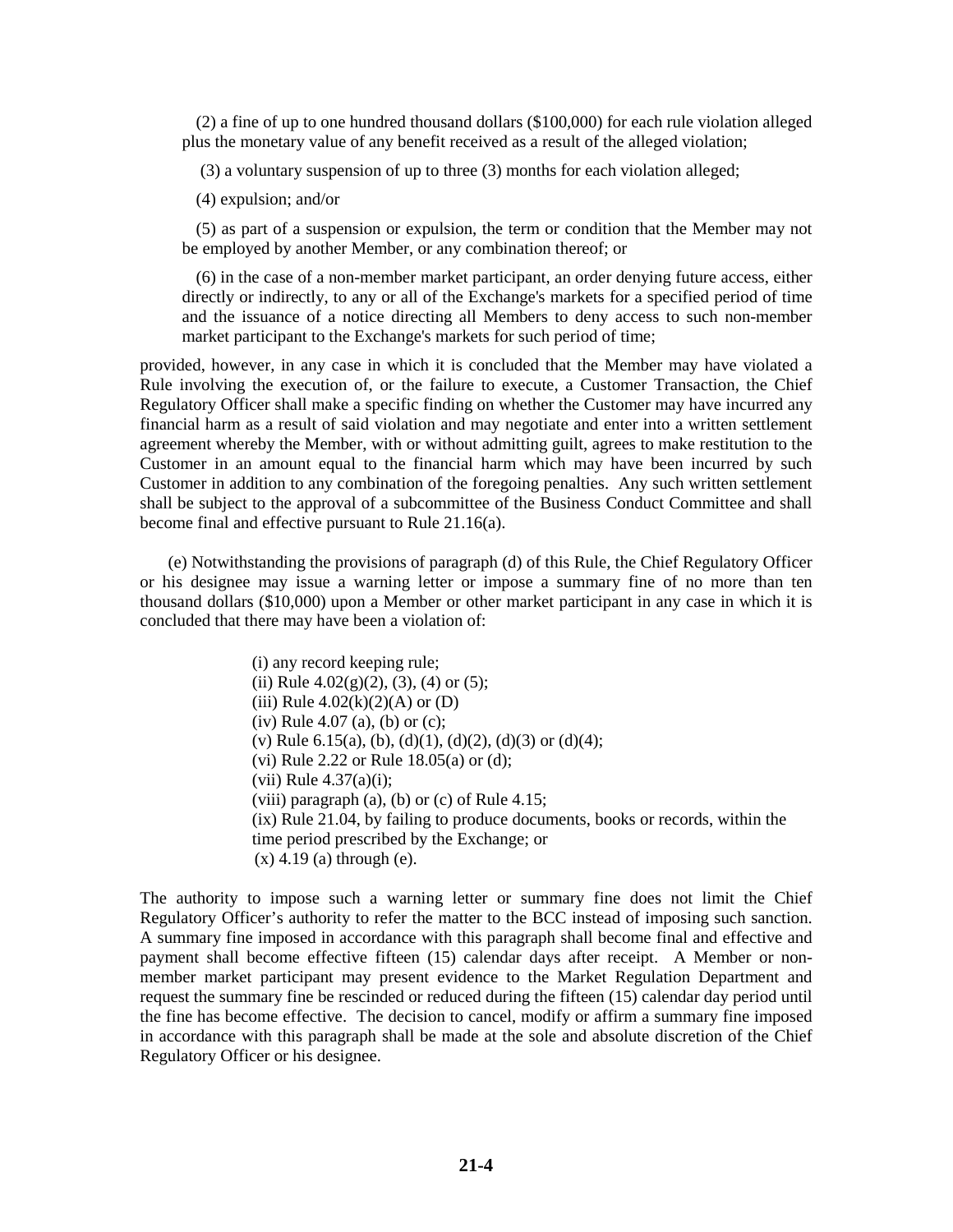(2) a fine of up to one hundred thousand dollars (\$100,000) for each rule violation alleged plus the monetary value of any benefit received as a result of the alleged violation;

(3) a voluntary suspension of up to three (3) months for each violation alleged;

(4) expulsion; and/or

(5) as part of a suspension or expulsion, the term or condition that the Member may not be employed by another Member, or any combination thereof; or

(6) in the case of a non-member market participant, an order denying future access, either directly or indirectly, to any or all of the Exchange's markets for a specified period of time and the issuance of a notice directing all Members to deny access to such non-member market participant to the Exchange's markets for such period of time;

provided, however, in any case in which it is concluded that the Member may have violated a Rule involving the execution of, or the failure to execute, a Customer Transaction, the Chief Regulatory Officer shall make a specific finding on whether the Customer may have incurred any financial harm as a result of said violation and may negotiate and enter into a written settlement agreement whereby the Member, with or without admitting guilt, agrees to make restitution to the Customer in an amount equal to the financial harm which may have been incurred by such Customer in addition to any combination of the foregoing penalties. Any such written settlement shall be subject to the approval of a subcommittee of the Business Conduct Committee and shall become final and effective pursuant to Rule 21.16(a).

(e) Notwithstanding the provisions of paragraph (d) of this Rule, the Chief Regulatory Officer or his designee may issue a warning letter or impose a summary fine of no more than ten thousand dollars (\$10,000) upon a Member or other market participant in any case in which it is concluded that there may have been a violation of:

> (i) any record keeping rule; (ii) Rule  $4.02(g)(2)$ , (3), (4) or (5); (iii) Rule  $4.02(k)(2)(A)$  or (D) (iv) Rule 4.07 (a), (b) or (c); (v) Rule 6.15(a), (b), (d)(1), (d)(2), (d)(3) or (d)(4); (vi) Rule 2.22 or Rule 18.05(a) or (d); (vii) Rule  $4.37(a)(i)$ ; (viii) paragraph (a), (b) or (c) of Rule  $4.15$ ; (ix) Rule 21.04, by failing to produce documents, books or records, within the time period prescribed by the Exchange; or  $(x)$  4.19 (a) through (e).

The authority to impose such a warning letter or summary fine does not limit the Chief Regulatory Officer's authority to refer the matter to the BCC instead of imposing such sanction. A summary fine imposed in accordance with this paragraph shall become final and effective and payment shall become effective fifteen (15) calendar days after receipt. A Member or nonmember market participant may present evidence to the Market Regulation Department and request the summary fine be rescinded or reduced during the fifteen (15) calendar day period until the fine has become effective. The decision to cancel, modify or affirm a summary fine imposed in accordance with this paragraph shall be made at the sole and absolute discretion of the Chief Regulatory Officer or his designee.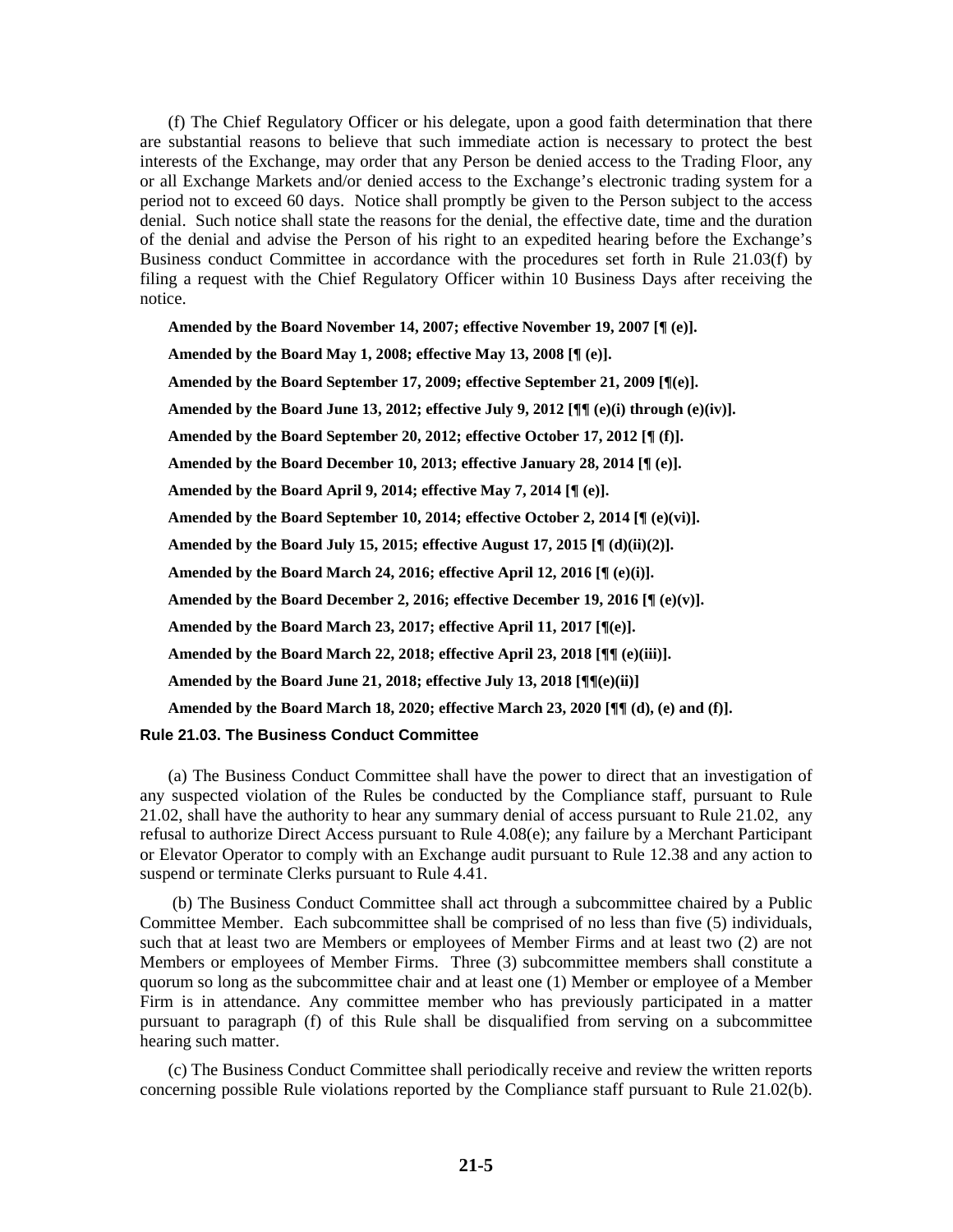(f) The Chief Regulatory Officer or his delegate, upon a good faith determination that there are substantial reasons to believe that such immediate action is necessary to protect the best interests of the Exchange, may order that any Person be denied access to the Trading Floor, any or all Exchange Markets and/or denied access to the Exchange's electronic trading system for a period not to exceed 60 days. Notice shall promptly be given to the Person subject to the access denial. Such notice shall state the reasons for the denial, the effective date, time and the duration of the denial and advise the Person of his right to an expedited hearing before the Exchange's Business conduct Committee in accordance with the procedures set forth in Rule 21.03(f) by filing a request with the Chief Regulatory Officer within 10 Business Days after receiving the notice.

**Amended by the Board November 14, 2007; effective November 19, 2007 [¶ (e)].**

**Amended by the Board May 1, 2008; effective May 13, 2008 [¶ (e)].**

**Amended by the Board September 17, 2009; effective September 21, 2009 [¶(e)].**

**Amended by the Board June 13, 2012; effective July 9, 2012 [¶¶ (e)(i) through (e)(iv)].**

**Amended by the Board September 20, 2012; effective October 17, 2012 [¶ (f)].**

**Amended by the Board December 10, 2013; effective January 28, 2014 [¶ (e)].**

**Amended by the Board April 9, 2014; effective May 7, 2014 [¶ (e)].**

**Amended by the Board September 10, 2014; effective October 2, 2014 [¶ (e)(vi)].**

**Amended by the Board July 15, 2015; effective August 17, 2015 [¶ (d)(ii)(2)].**

**Amended by the Board March 24, 2016; effective April 12, 2016 [¶ (e)(i)].**

**Amended by the Board December 2, 2016; effective December 19, 2016 [¶ (e)(v)].**

**Amended by the Board March 23, 2017; effective April 11, 2017 [¶(e)].**

**Amended by the Board March 22, 2018; effective April 23, 2018 [¶¶ (e)(iii)].**

**Amended by the Board June 21, 2018; effective July 13, 2018 [¶¶(e)(ii)]**

**Amended by the Board March 18, 2020; effective March 23, 2020 [¶¶ (d), (e) and (f)].**

#### **Rule 21.03. The Business Conduct Committee**

(a) The Business Conduct Committee shall have the power to direct that an investigation of any suspected violation of the Rules be conducted by the Compliance staff, pursuant to Rule 21.02, shall have the authority to hear any summary denial of access pursuant to Rule 21.02, any refusal to authorize Direct Access pursuant to Rule 4.08(e); any failure by a Merchant Participant or Elevator Operator to comply with an Exchange audit pursuant to Rule 12.38 and any action to suspend or terminate Clerks pursuant to Rule 4.41.

(b) The Business Conduct Committee shall act through a subcommittee chaired by a Public Committee Member. Each subcommittee shall be comprised of no less than five (5) individuals, such that at least two are Members or employees of Member Firms and at least two (2) are not Members or employees of Member Firms. Three (3) subcommittee members shall constitute a quorum so long as the subcommittee chair and at least one (1) Member or employee of a Member Firm is in attendance. Any committee member who has previously participated in a matter pursuant to paragraph (f) of this Rule shall be disqualified from serving on a subcommittee hearing such matter.

(c) The Business Conduct Committee shall periodically receive and review the written reports concerning possible Rule violations reported by the Compliance staff pursuant to Rule 21.02(b).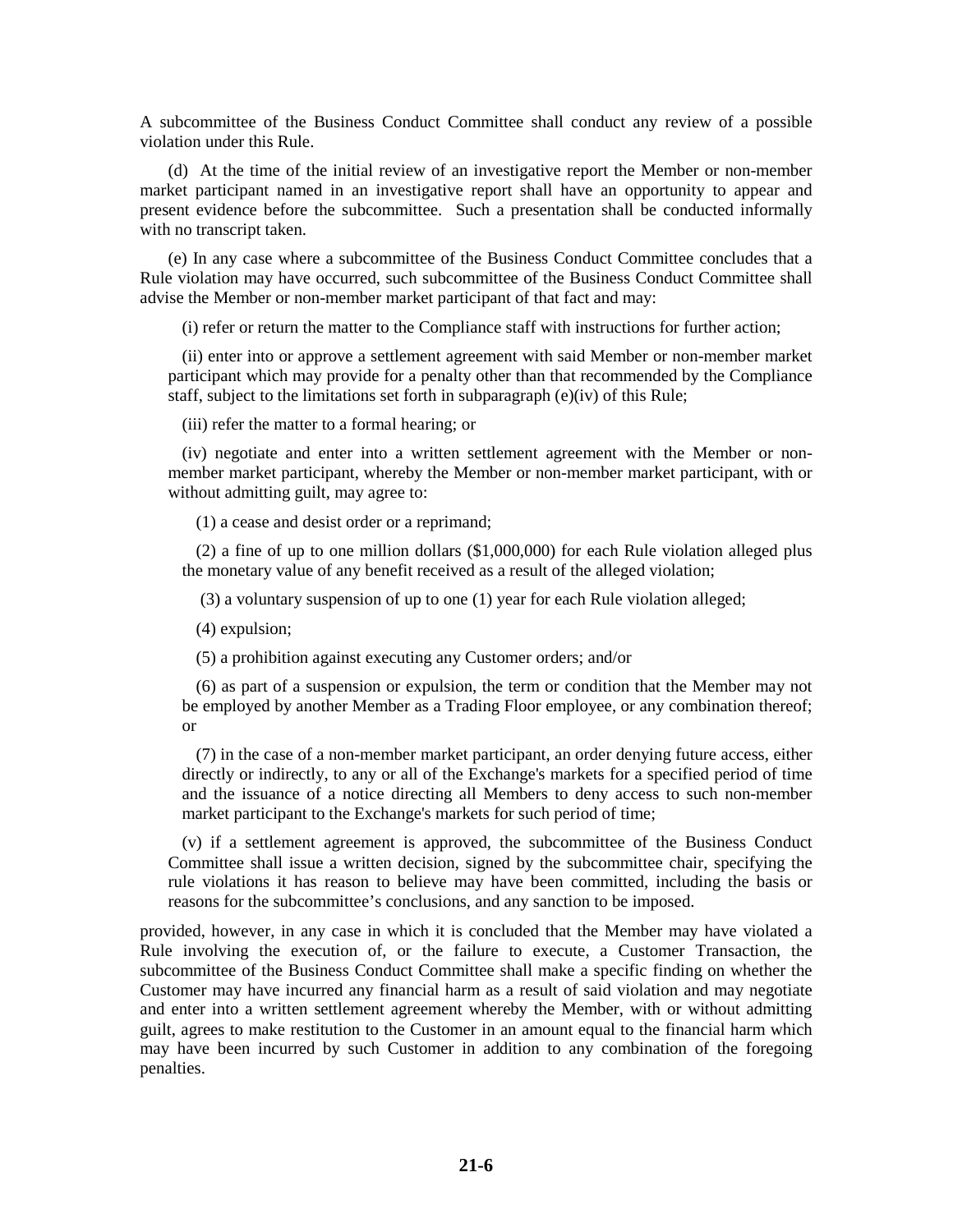A subcommittee of the Business Conduct Committee shall conduct any review of a possible violation under this Rule.

(d) At the time of the initial review of an investigative report the Member or non-member market participant named in an investigative report shall have an opportunity to appear and present evidence before the subcommittee. Such a presentation shall be conducted informally with no transcript taken.

(e) In any case where a subcommittee of the Business Conduct Committee concludes that a Rule violation may have occurred, such subcommittee of the Business Conduct Committee shall advise the Member or non-member market participant of that fact and may:

(i) refer or return the matter to the Compliance staff with instructions for further action;

(ii) enter into or approve a settlement agreement with said Member or non-member market participant which may provide for a penalty other than that recommended by the Compliance staff, subject to the limitations set forth in subparagraph (e)(iv) of this Rule;

(iii) refer the matter to a formal hearing; or

(iv) negotiate and enter into a written settlement agreement with the Member or nonmember market participant, whereby the Member or non-member market participant, with or without admitting guilt, may agree to:

(1) a cease and desist order or a reprimand;

(2) a fine of up to one million dollars (\$1,000,000) for each Rule violation alleged plus the monetary value of any benefit received as a result of the alleged violation;

(3) a voluntary suspension of up to one (1) year for each Rule violation alleged;

(4) expulsion;

(5) a prohibition against executing any Customer orders; and/or

(6) as part of a suspension or expulsion, the term or condition that the Member may not be employed by another Member as a Trading Floor employee, or any combination thereof; or

(7) in the case of a non-member market participant, an order denying future access, either directly or indirectly, to any or all of the Exchange's markets for a specified period of time and the issuance of a notice directing all Members to deny access to such non-member market participant to the Exchange's markets for such period of time;

(v) if a settlement agreement is approved, the subcommittee of the Business Conduct Committee shall issue a written decision, signed by the subcommittee chair, specifying the rule violations it has reason to believe may have been committed, including the basis or reasons for the subcommittee's conclusions, and any sanction to be imposed.

provided, however, in any case in which it is concluded that the Member may have violated a Rule involving the execution of, or the failure to execute, a Customer Transaction, the subcommittee of the Business Conduct Committee shall make a specific finding on whether the Customer may have incurred any financial harm as a result of said violation and may negotiate and enter into a written settlement agreement whereby the Member, with or without admitting guilt, agrees to make restitution to the Customer in an amount equal to the financial harm which may have been incurred by such Customer in addition to any combination of the foregoing penalties.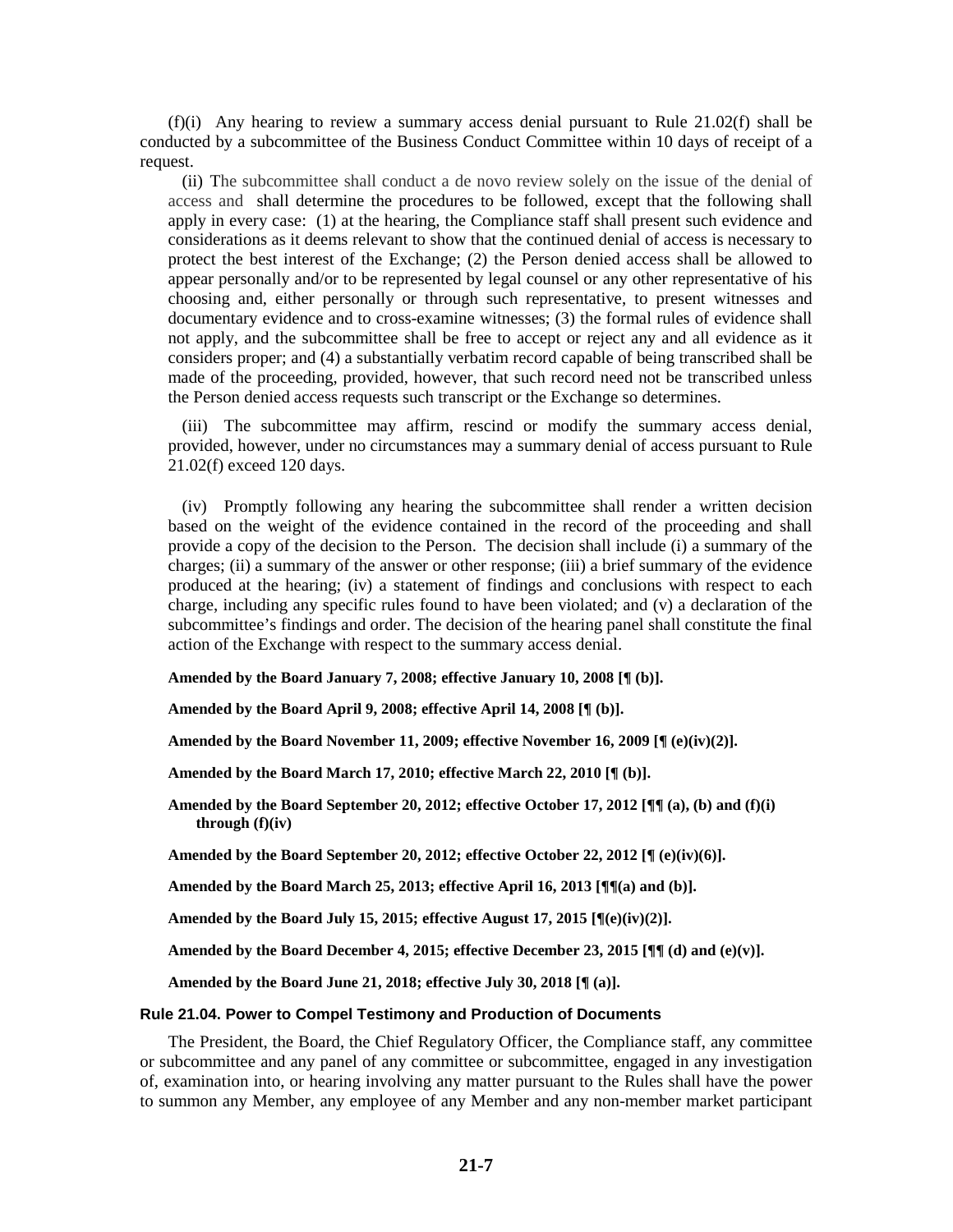$(f)(i)$  Any hearing to review a summary access denial pursuant to Rule 21.02(f) shall be conducted by a subcommittee of the Business Conduct Committee within 10 days of receipt of a request.

(ii) The subcommittee shall conduct a de novo review solely on the issue of the denial of access and shall determine the procedures to be followed, except that the following shall apply in every case: (1) at the hearing, the Compliance staff shall present such evidence and considerations as it deems relevant to show that the continued denial of access is necessary to protect the best interest of the Exchange; (2) the Person denied access shall be allowed to appear personally and/or to be represented by legal counsel or any other representative of his choosing and, either personally or through such representative, to present witnesses and documentary evidence and to cross-examine witnesses; (3) the formal rules of evidence shall not apply, and the subcommittee shall be free to accept or reject any and all evidence as it considers proper; and (4) a substantially verbatim record capable of being transcribed shall be made of the proceeding, provided, however, that such record need not be transcribed unless the Person denied access requests such transcript or the Exchange so determines.

(iii) The subcommittee may affirm, rescind or modify the summary access denial, provided, however, under no circumstances may a summary denial of access pursuant to Rule 21.02(f) exceed 120 days.

(iv) Promptly following any hearing the subcommittee shall render a written decision based on the weight of the evidence contained in the record of the proceeding and shall provide a copy of the decision to the Person. The decision shall include (i) a summary of the charges; (ii) a summary of the answer or other response; (iii) a brief summary of the evidence produced at the hearing; (iv) a statement of findings and conclusions with respect to each charge, including any specific rules found to have been violated; and (v) a declaration of the subcommittee's findings and order. The decision of the hearing panel shall constitute the final action of the Exchange with respect to the summary access denial.

**Amended by the Board January 7, 2008; effective January 10, 2008 [¶ (b)].**

**Amended by the Board April 9, 2008; effective April 14, 2008 [¶ (b)].**

**Amended by the Board November 11, 2009; effective November 16, 2009 [¶ (e)(iv)(2)].**

**Amended by the Board March 17, 2010; effective March 22, 2010 [¶ (b)].**

**Amended by the Board September 20, 2012; effective October 17, 2012 [¶¶ (a), (b) and (f)(i) through (f)(iv)**

**Amended by the Board September 20, 2012; effective October 22, 2012 [¶ (e)(iv)(6)].**

**Amended by the Board March 25, 2013; effective April 16, 2013 [¶¶(a) and (b)].**

**Amended by the Board July 15, 2015; effective August 17, 2015 [¶(e)(iv)(2)].**

**Amended by the Board December 4, 2015; effective December 23, 2015 [** $\P$ **]** (d) and (e)(v)].

**Amended by the Board June 21, 2018; effective July 30, 2018 [¶ (a)].**

#### **Rule 21.04. Power to Compel Testimony and Production of Documents**

The President, the Board, the Chief Regulatory Officer, the Compliance staff, any committee or subcommittee and any panel of any committee or subcommittee, engaged in any investigation of, examination into, or hearing involving any matter pursuant to the Rules shall have the power to summon any Member, any employee of any Member and any non-member market participant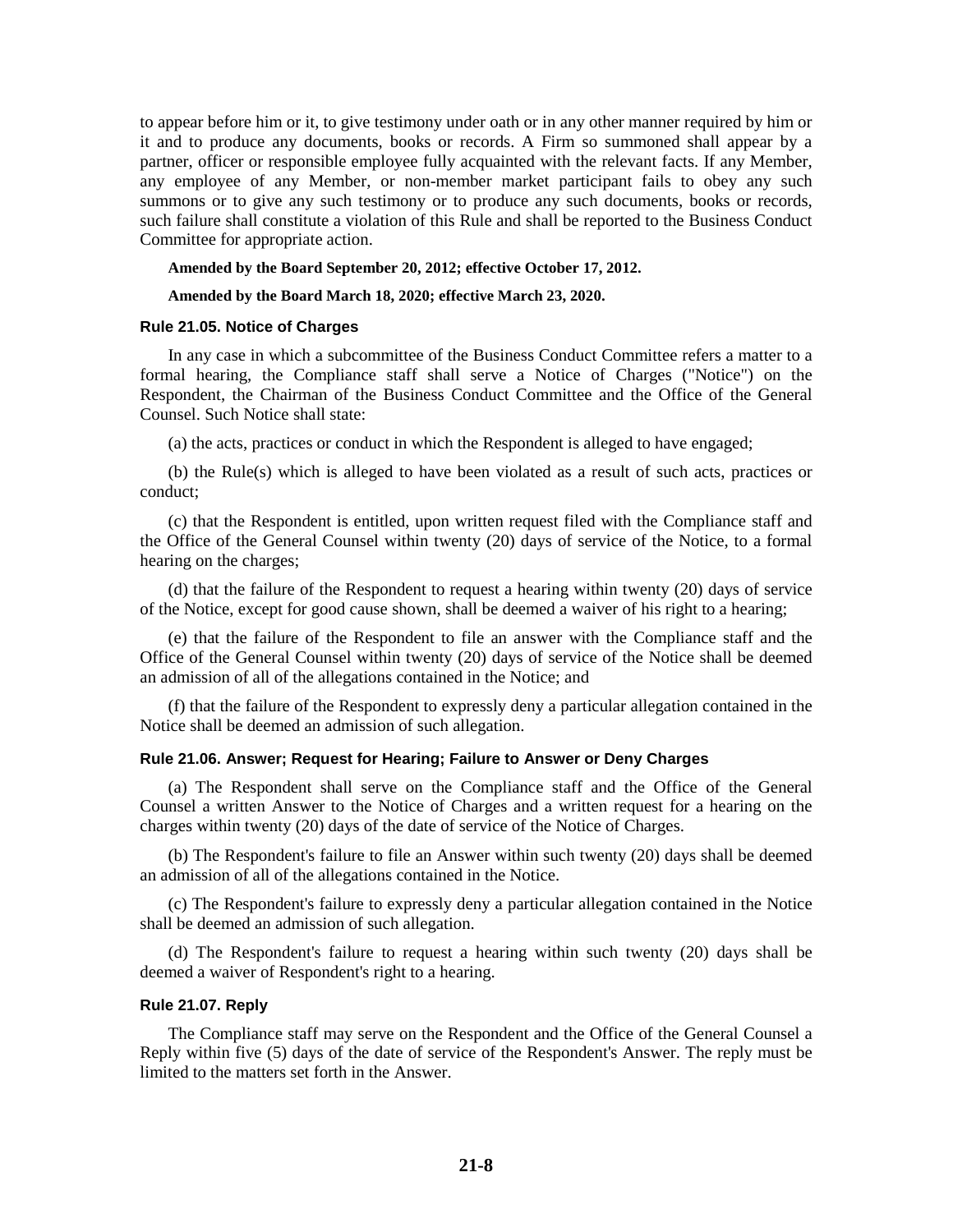to appear before him or it, to give testimony under oath or in any other manner required by him or it and to produce any documents, books or records. A Firm so summoned shall appear by a partner, officer or responsible employee fully acquainted with the relevant facts. If any Member, any employee of any Member, or non-member market participant fails to obey any such summons or to give any such testimony or to produce any such documents, books or records, such failure shall constitute a violation of this Rule and shall be reported to the Business Conduct Committee for appropriate action.

#### **Amended by the Board September 20, 2012; effective October 17, 2012.**

#### **Amended by the Board March 18, 2020; effective March 23, 2020.**

#### **Rule 21.05. Notice of Charges**

In any case in which a subcommittee of the Business Conduct Committee refers a matter to a formal hearing, the Compliance staff shall serve a Notice of Charges ("Notice") on the Respondent, the Chairman of the Business Conduct Committee and the Office of the General Counsel. Such Notice shall state:

(a) the acts, practices or conduct in which the Respondent is alleged to have engaged;

(b) the Rule(s) which is alleged to have been violated as a result of such acts, practices or conduct;

(c) that the Respondent is entitled, upon written request filed with the Compliance staff and the Office of the General Counsel within twenty (20) days of service of the Notice, to a formal hearing on the charges;

(d) that the failure of the Respondent to request a hearing within twenty (20) days of service of the Notice, except for good cause shown, shall be deemed a waiver of his right to a hearing;

(e) that the failure of the Respondent to file an answer with the Compliance staff and the Office of the General Counsel within twenty (20) days of service of the Notice shall be deemed an admission of all of the allegations contained in the Notice; and

(f) that the failure of the Respondent to expressly deny a particular allegation contained in the Notice shall be deemed an admission of such allegation.

#### **Rule 21.06. Answer; Request for Hearing; Failure to Answer or Deny Charges**

(a) The Respondent shall serve on the Compliance staff and the Office of the General Counsel a written Answer to the Notice of Charges and a written request for a hearing on the charges within twenty (20) days of the date of service of the Notice of Charges.

(b) The Respondent's failure to file an Answer within such twenty (20) days shall be deemed an admission of all of the allegations contained in the Notice.

(c) The Respondent's failure to expressly deny a particular allegation contained in the Notice shall be deemed an admission of such allegation.

(d) The Respondent's failure to request a hearing within such twenty (20) days shall be deemed a waiver of Respondent's right to a hearing.

#### **Rule 21.07. Reply**

The Compliance staff may serve on the Respondent and the Office of the General Counsel a Reply within five (5) days of the date of service of the Respondent's Answer. The reply must be limited to the matters set forth in the Answer.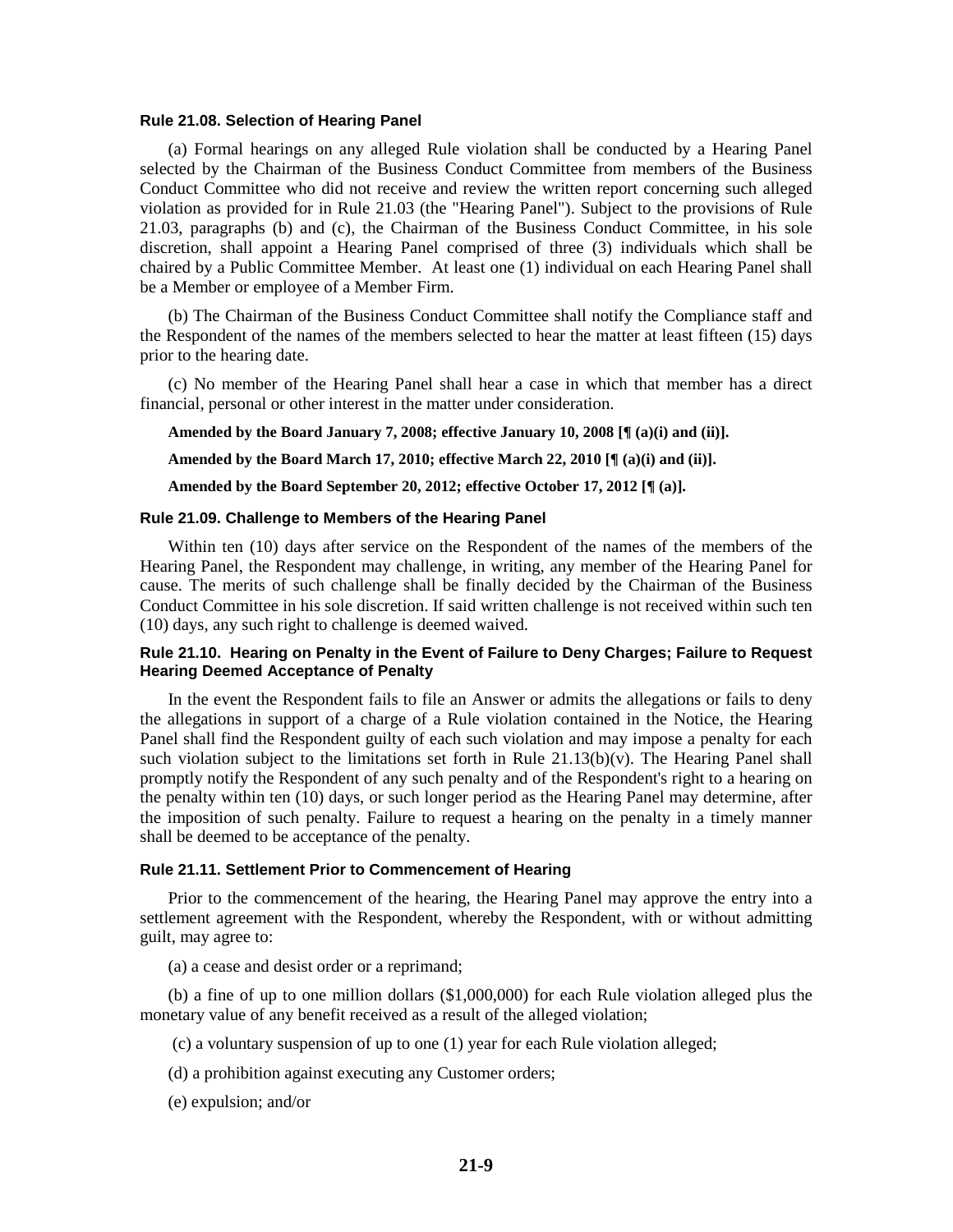#### **Rule 21.08. Selection of Hearing Panel**

(a) Formal hearings on any alleged Rule violation shall be conducted by a Hearing Panel selected by the Chairman of the Business Conduct Committee from members of the Business Conduct Committee who did not receive and review the written report concerning such alleged violation as provided for in Rule 21.03 (the "Hearing Panel"). Subject to the provisions of Rule 21.03, paragraphs (b) and (c), the Chairman of the Business Conduct Committee, in his sole discretion, shall appoint a Hearing Panel comprised of three (3) individuals which shall be chaired by a Public Committee Member. At least one (1) individual on each Hearing Panel shall be a Member or employee of a Member Firm.

(b) The Chairman of the Business Conduct Committee shall notify the Compliance staff and the Respondent of the names of the members selected to hear the matter at least fifteen (15) days prior to the hearing date.

(c) No member of the Hearing Panel shall hear a case in which that member has a direct financial, personal or other interest in the matter under consideration.

**Amended by the Board January 7, 2008; effective January 10, 2008 [¶ (a)(i) and (ii)].**

**Amended by the Board March 17, 2010; effective March 22, 2010 [¶ (a)(i) and (ii)].**

**Amended by the Board September 20, 2012; effective October 17, 2012 [¶ (a)].**

#### **Rule 21.09. Challenge to Members of the Hearing Panel**

Within ten (10) days after service on the Respondent of the names of the members of the Hearing Panel, the Respondent may challenge, in writing, any member of the Hearing Panel for cause. The merits of such challenge shall be finally decided by the Chairman of the Business Conduct Committee in his sole discretion. If said written challenge is not received within such ten (10) days, any such right to challenge is deemed waived.

#### **Rule 21.10. Hearing on Penalty in the Event of Failure to Deny Charges; Failure to Request Hearing Deemed Acceptance of Penalty**

In the event the Respondent fails to file an Answer or admits the allegations or fails to deny the allegations in support of a charge of a Rule violation contained in the Notice, the Hearing Panel shall find the Respondent guilty of each such violation and may impose a penalty for each such violation subject to the limitations set forth in Rule  $21.13(b)(v)$ . The Hearing Panel shall promptly notify the Respondent of any such penalty and of the Respondent's right to a hearing on the penalty within ten (10) days, or such longer period as the Hearing Panel may determine, after the imposition of such penalty. Failure to request a hearing on the penalty in a timely manner shall be deemed to be acceptance of the penalty.

#### **Rule 21.11. Settlement Prior to Commencement of Hearing**

Prior to the commencement of the hearing, the Hearing Panel may approve the entry into a settlement agreement with the Respondent, whereby the Respondent, with or without admitting guilt, may agree to:

(a) a cease and desist order or a reprimand;

(b) a fine of up to one million dollars (\$1,000,000) for each Rule violation alleged plus the monetary value of any benefit received as a result of the alleged violation;

- (c) a voluntary suspension of up to one (1) year for each Rule violation alleged;
- (d) a prohibition against executing any Customer orders;
- (e) expulsion; and/or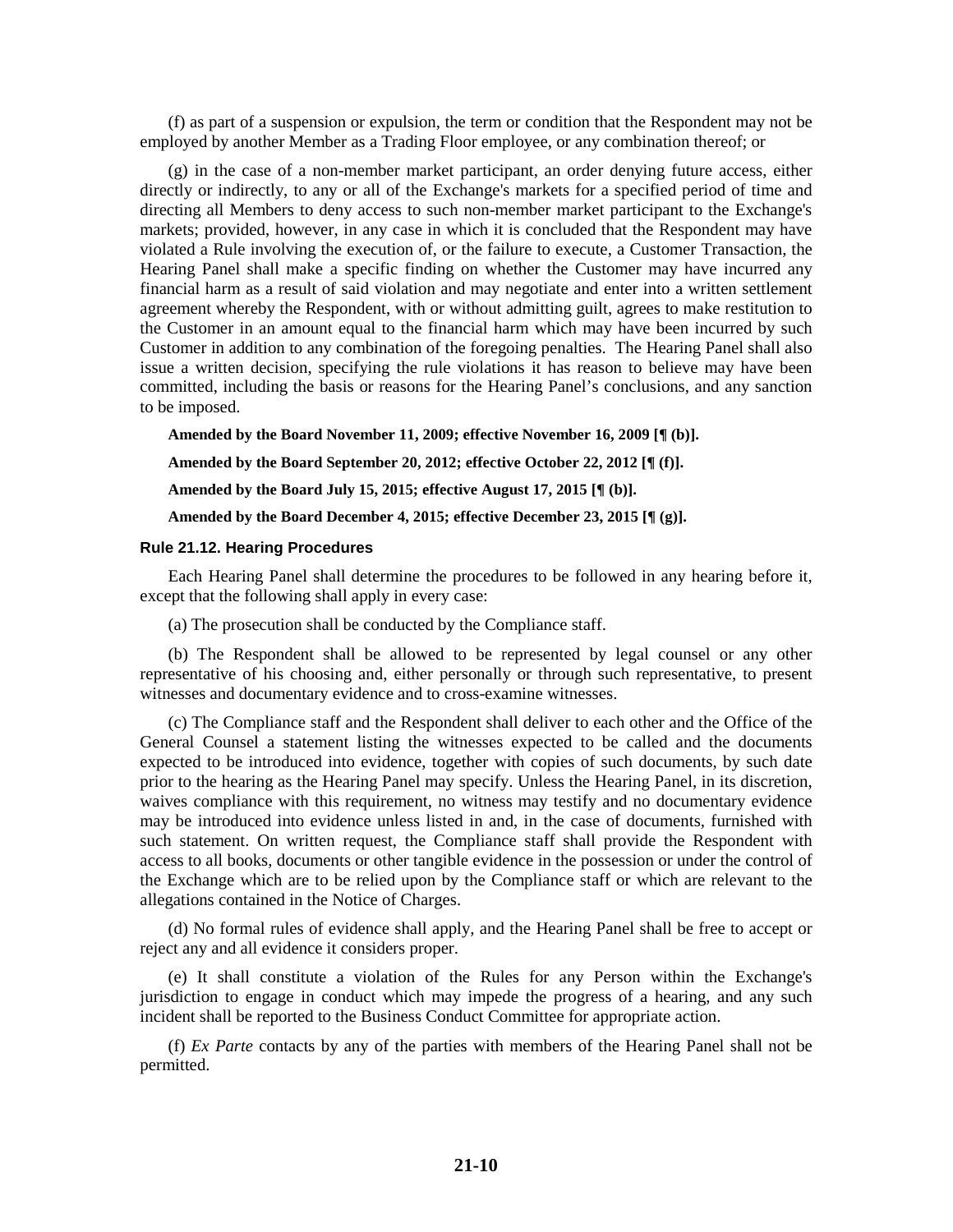(f) as part of a suspension or expulsion, the term or condition that the Respondent may not be employed by another Member as a Trading Floor employee, or any combination thereof; or

(g) in the case of a non-member market participant, an order denying future access, either directly or indirectly, to any or all of the Exchange's markets for a specified period of time and directing all Members to deny access to such non-member market participant to the Exchange's markets; provided, however, in any case in which it is concluded that the Respondent may have violated a Rule involving the execution of, or the failure to execute, a Customer Transaction, the Hearing Panel shall make a specific finding on whether the Customer may have incurred any financial harm as a result of said violation and may negotiate and enter into a written settlement agreement whereby the Respondent, with or without admitting guilt, agrees to make restitution to the Customer in an amount equal to the financial harm which may have been incurred by such Customer in addition to any combination of the foregoing penalties. The Hearing Panel shall also issue a written decision, specifying the rule violations it has reason to believe may have been committed, including the basis or reasons for the Hearing Panel's conclusions, and any sanction to be imposed.

**Amended by the Board November 11, 2009; effective November 16, 2009 [¶ (b)].**

**Amended by the Board September 20, 2012; effective October 22, 2012 [¶ (f)].**

**Amended by the Board July 15, 2015; effective August 17, 2015 [¶ (b)].**

**Amended by the Board December 4, 2015; effective December 23, 2015 [¶ (g)].**

#### **Rule 21.12. Hearing Procedures**

Each Hearing Panel shall determine the procedures to be followed in any hearing before it, except that the following shall apply in every case:

(a) The prosecution shall be conducted by the Compliance staff.

(b) The Respondent shall be allowed to be represented by legal counsel or any other representative of his choosing and, either personally or through such representative, to present witnesses and documentary evidence and to cross-examine witnesses.

(c) The Compliance staff and the Respondent shall deliver to each other and the Office of the General Counsel a statement listing the witnesses expected to be called and the documents expected to be introduced into evidence, together with copies of such documents, by such date prior to the hearing as the Hearing Panel may specify. Unless the Hearing Panel, in its discretion, waives compliance with this requirement, no witness may testify and no documentary evidence may be introduced into evidence unless listed in and, in the case of documents, furnished with such statement. On written request, the Compliance staff shall provide the Respondent with access to all books, documents or other tangible evidence in the possession or under the control of the Exchange which are to be relied upon by the Compliance staff or which are relevant to the allegations contained in the Notice of Charges.

(d) No formal rules of evidence shall apply, and the Hearing Panel shall be free to accept or reject any and all evidence it considers proper.

(e) It shall constitute a violation of the Rules for any Person within the Exchange's jurisdiction to engage in conduct which may impede the progress of a hearing, and any such incident shall be reported to the Business Conduct Committee for appropriate action.

(f) *Ex Parte* contacts by any of the parties with members of the Hearing Panel shall not be permitted.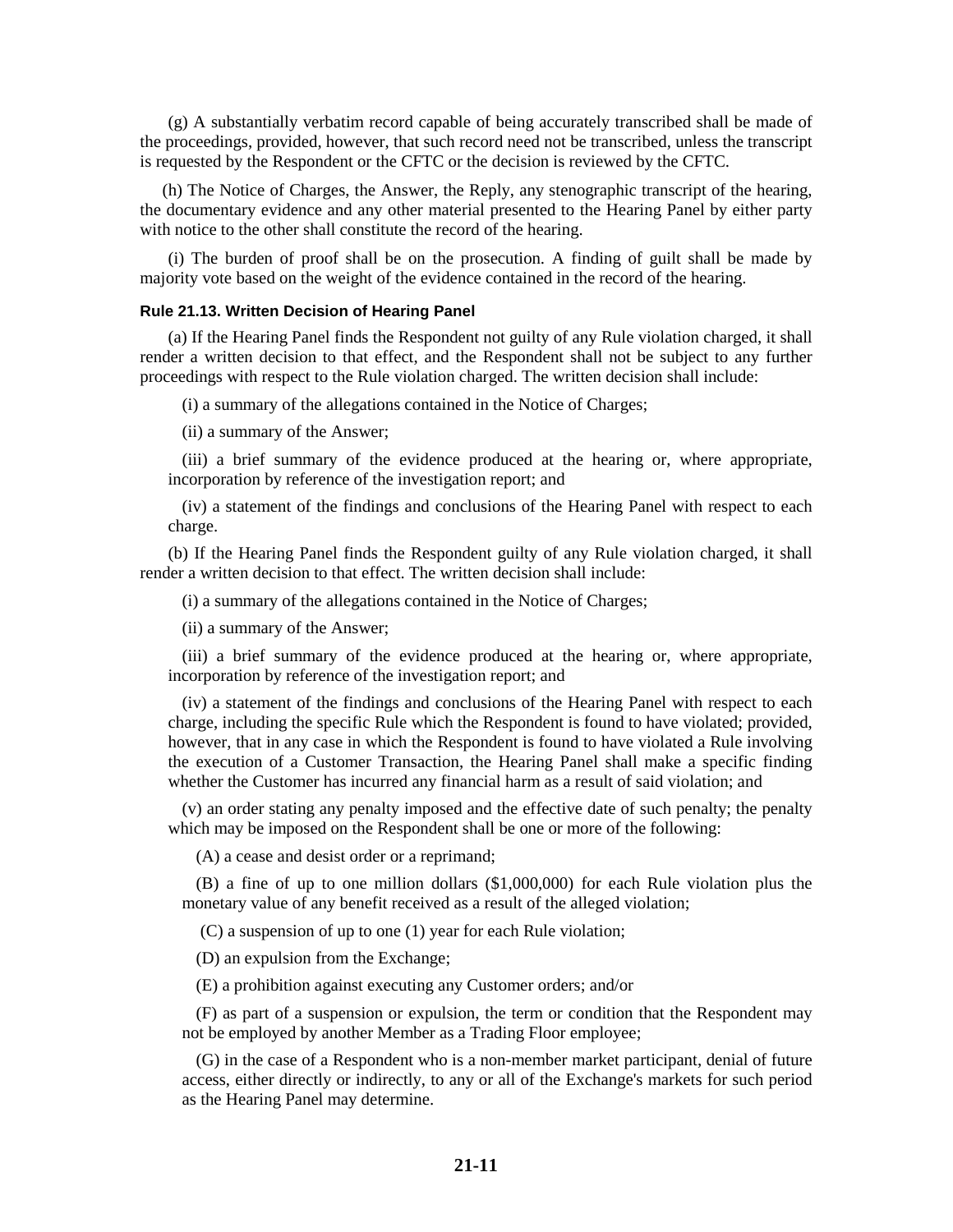(g) A substantially verbatim record capable of being accurately transcribed shall be made of the proceedings, provided, however, that such record need not be transcribed, unless the transcript is requested by the Respondent or the CFTC or the decision is reviewed by the CFTC.

(h) The Notice of Charges, the Answer, the Reply, any stenographic transcript of the hearing, the documentary evidence and any other material presented to the Hearing Panel by either party with notice to the other shall constitute the record of the hearing.

(i) The burden of proof shall be on the prosecution. A finding of guilt shall be made by majority vote based on the weight of the evidence contained in the record of the hearing.

#### **Rule 21.13. Written Decision of Hearing Panel**

(a) If the Hearing Panel finds the Respondent not guilty of any Rule violation charged, it shall render a written decision to that effect, and the Respondent shall not be subject to any further proceedings with respect to the Rule violation charged. The written decision shall include:

(i) a summary of the allegations contained in the Notice of Charges;

(ii) a summary of the Answer;

(iii) a brief summary of the evidence produced at the hearing or, where appropriate, incorporation by reference of the investigation report; and

(iv) a statement of the findings and conclusions of the Hearing Panel with respect to each charge.

(b) If the Hearing Panel finds the Respondent guilty of any Rule violation charged, it shall render a written decision to that effect. The written decision shall include:

(i) a summary of the allegations contained in the Notice of Charges;

(ii) a summary of the Answer;

(iii) a brief summary of the evidence produced at the hearing or, where appropriate, incorporation by reference of the investigation report; and

(iv) a statement of the findings and conclusions of the Hearing Panel with respect to each charge, including the specific Rule which the Respondent is found to have violated; provided, however, that in any case in which the Respondent is found to have violated a Rule involving the execution of a Customer Transaction, the Hearing Panel shall make a specific finding whether the Customer has incurred any financial harm as a result of said violation; and

(v) an order stating any penalty imposed and the effective date of such penalty; the penalty which may be imposed on the Respondent shall be one or more of the following:

(A) a cease and desist order or a reprimand;

(B) a fine of up to one million dollars (\$1,000,000) for each Rule violation plus the monetary value of any benefit received as a result of the alleged violation;

(C) a suspension of up to one (1) year for each Rule violation;

(D) an expulsion from the Exchange;

(E) a prohibition against executing any Customer orders; and/or

(F) as part of a suspension or expulsion, the term or condition that the Respondent may not be employed by another Member as a Trading Floor employee;

(G) in the case of a Respondent who is a non-member market participant, denial of future access, either directly or indirectly, to any or all of the Exchange's markets for such period as the Hearing Panel may determine.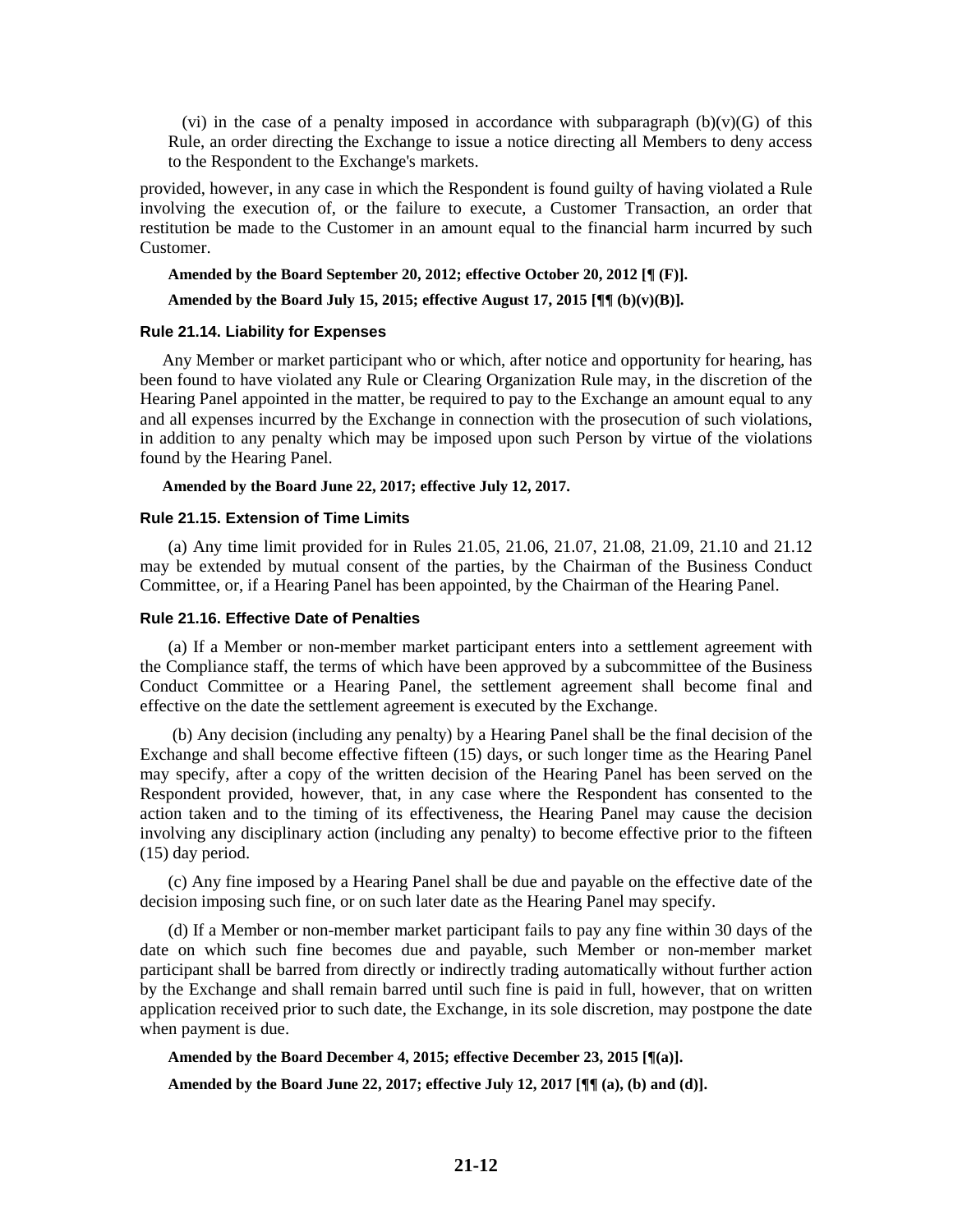(vi) in the case of a penalty imposed in accordance with subparagraph  $(b)(v)(G)$  of this Rule, an order directing the Exchange to issue a notice directing all Members to deny access to the Respondent to the Exchange's markets.

provided, however, in any case in which the Respondent is found guilty of having violated a Rule involving the execution of, or the failure to execute, a Customer Transaction, an order that restitution be made to the Customer in an amount equal to the financial harm incurred by such Customer.

#### **Amended by the Board September 20, 2012; effective October 20, 2012 [¶ (F)].**

#### **Amended by the Board July 15, 2015; effective August 17, 2015 [¶¶ (b)(v)(B)].**

#### **Rule 21.14. Liability for Expenses**

Any Member or market participant who or which, after notice and opportunity for hearing, has been found to have violated any Rule or Clearing Organization Rule may, in the discretion of the Hearing Panel appointed in the matter, be required to pay to the Exchange an amount equal to any and all expenses incurred by the Exchange in connection with the prosecution of such violations, in addition to any penalty which may be imposed upon such Person by virtue of the violations found by the Hearing Panel.

### **Amended by the Board June 22, 2017; effective July 12, 2017.**

#### **Rule 21.15. Extension of Time Limits**

(a) Any time limit provided for in Rules 21.05, 21.06, 21.07, 21.08, 21.09, 21.10 and 21.12 may be extended by mutual consent of the parties, by the Chairman of the Business Conduct Committee, or, if a Hearing Panel has been appointed, by the Chairman of the Hearing Panel.

#### **Rule 21.16. Effective Date of Penalties**

(a) If a Member or non-member market participant enters into a settlement agreement with the Compliance staff, the terms of which have been approved by a subcommittee of the Business Conduct Committee or a Hearing Panel, the settlement agreement shall become final and effective on the date the settlement agreement is executed by the Exchange.

(b) Any decision (including any penalty) by a Hearing Panel shall be the final decision of the Exchange and shall become effective fifteen (15) days, or such longer time as the Hearing Panel may specify, after a copy of the written decision of the Hearing Panel has been served on the Respondent provided, however, that, in any case where the Respondent has consented to the action taken and to the timing of its effectiveness, the Hearing Panel may cause the decision involving any disciplinary action (including any penalty) to become effective prior to the fifteen (15) day period.

(c) Any fine imposed by a Hearing Panel shall be due and payable on the effective date of the decision imposing such fine, or on such later date as the Hearing Panel may specify.

(d) If a Member or non-member market participant fails to pay any fine within 30 days of the date on which such fine becomes due and payable, such Member or non-member market participant shall be barred from directly or indirectly trading automatically without further action by the Exchange and shall remain barred until such fine is paid in full, however, that on written application received prior to such date, the Exchange, in its sole discretion, may postpone the date when payment is due.

#### **Amended by the Board December 4, 2015; effective December 23, 2015 [¶(a)].**

**Amended by the Board June 22, 2017; effective July 12, 2017 [¶¶ (a), (b) and (d)].**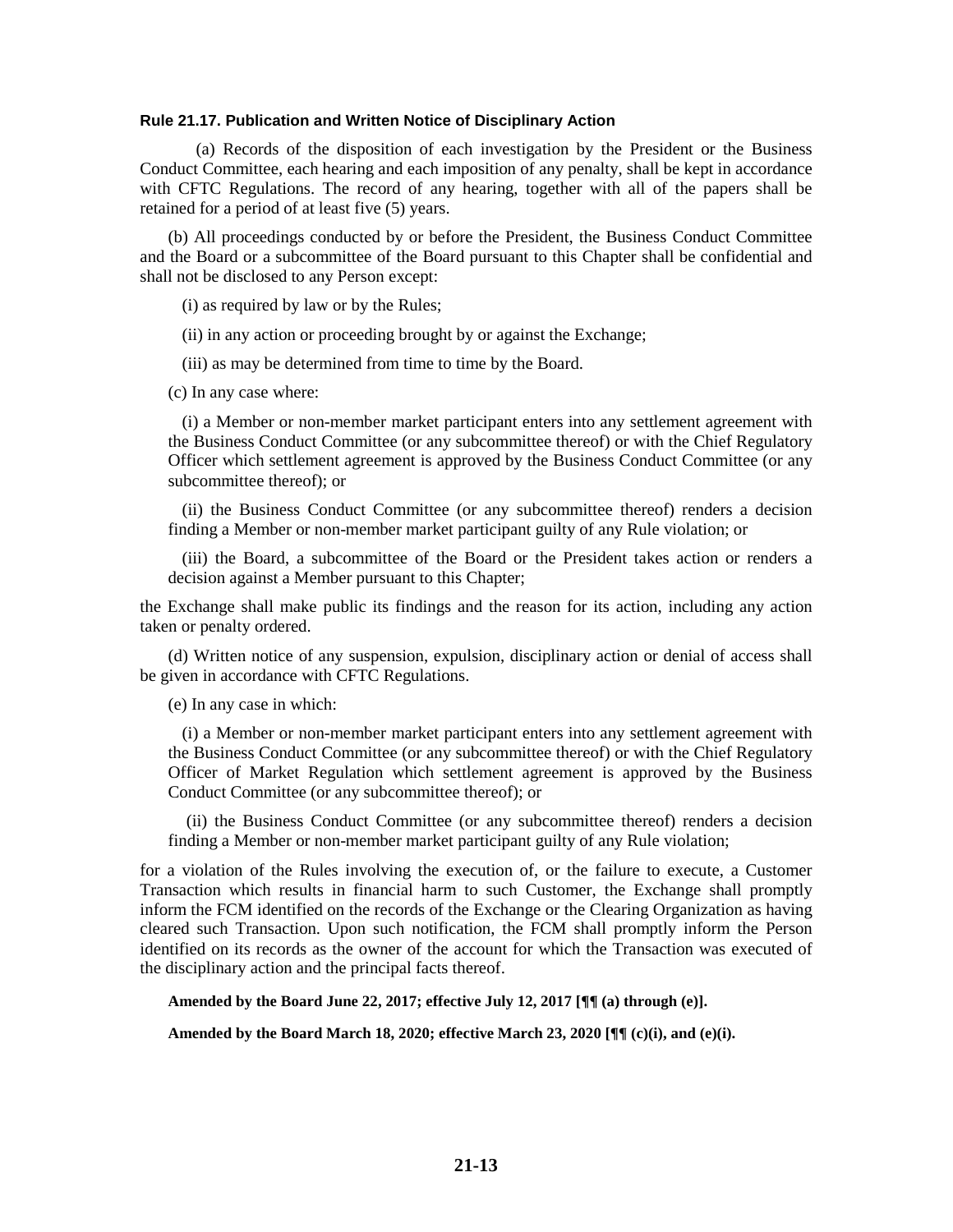#### **Rule 21.17. Publication and Written Notice of Disciplinary Action**

(a) Records of the disposition of each investigation by the President or the Business Conduct Committee, each hearing and each imposition of any penalty, shall be kept in accordance with CFTC Regulations. The record of any hearing, together with all of the papers shall be retained for a period of at least five (5) years.

(b) All proceedings conducted by or before the President, the Business Conduct Committee and the Board or a subcommittee of the Board pursuant to this Chapter shall be confidential and shall not be disclosed to any Person except:

(i) as required by law or by the Rules;

(ii) in any action or proceeding brought by or against the Exchange;

(iii) as may be determined from time to time by the Board.

(c) In any case where:

(i) a Member or non-member market participant enters into any settlement agreement with the Business Conduct Committee (or any subcommittee thereof) or with the Chief Regulatory Officer which settlement agreement is approved by the Business Conduct Committee (or any subcommittee thereof); or

(ii) the Business Conduct Committee (or any subcommittee thereof) renders a decision finding a Member or non-member market participant guilty of any Rule violation; or

(iii) the Board, a subcommittee of the Board or the President takes action or renders a decision against a Member pursuant to this Chapter;

the Exchange shall make public its findings and the reason for its action, including any action taken or penalty ordered.

(d) Written notice of any suspension, expulsion, disciplinary action or denial of access shall be given in accordance with CFTC Regulations.

(e) In any case in which:

(i) a Member or non-member market participant enters into any settlement agreement with the Business Conduct Committee (or any subcommittee thereof) or with the Chief Regulatory Officer of Market Regulation which settlement agreement is approved by the Business Conduct Committee (or any subcommittee thereof); or

(ii) the Business Conduct Committee (or any subcommittee thereof) renders a decision finding a Member or non-member market participant guilty of any Rule violation;

for a violation of the Rules involving the execution of, or the failure to execute, a Customer Transaction which results in financial harm to such Customer, the Exchange shall promptly inform the FCM identified on the records of the Exchange or the Clearing Organization as having cleared such Transaction. Upon such notification, the FCM shall promptly inform the Person identified on its records as the owner of the account for which the Transaction was executed of the disciplinary action and the principal facts thereof.

**Amended by the Board June 22, 2017; effective July 12, 2017 [¶¶ (a) through (e)].**

**Amended by the Board March 18, 2020; effective March 23, 2020 [¶¶ (c)(i), and (e)(i).**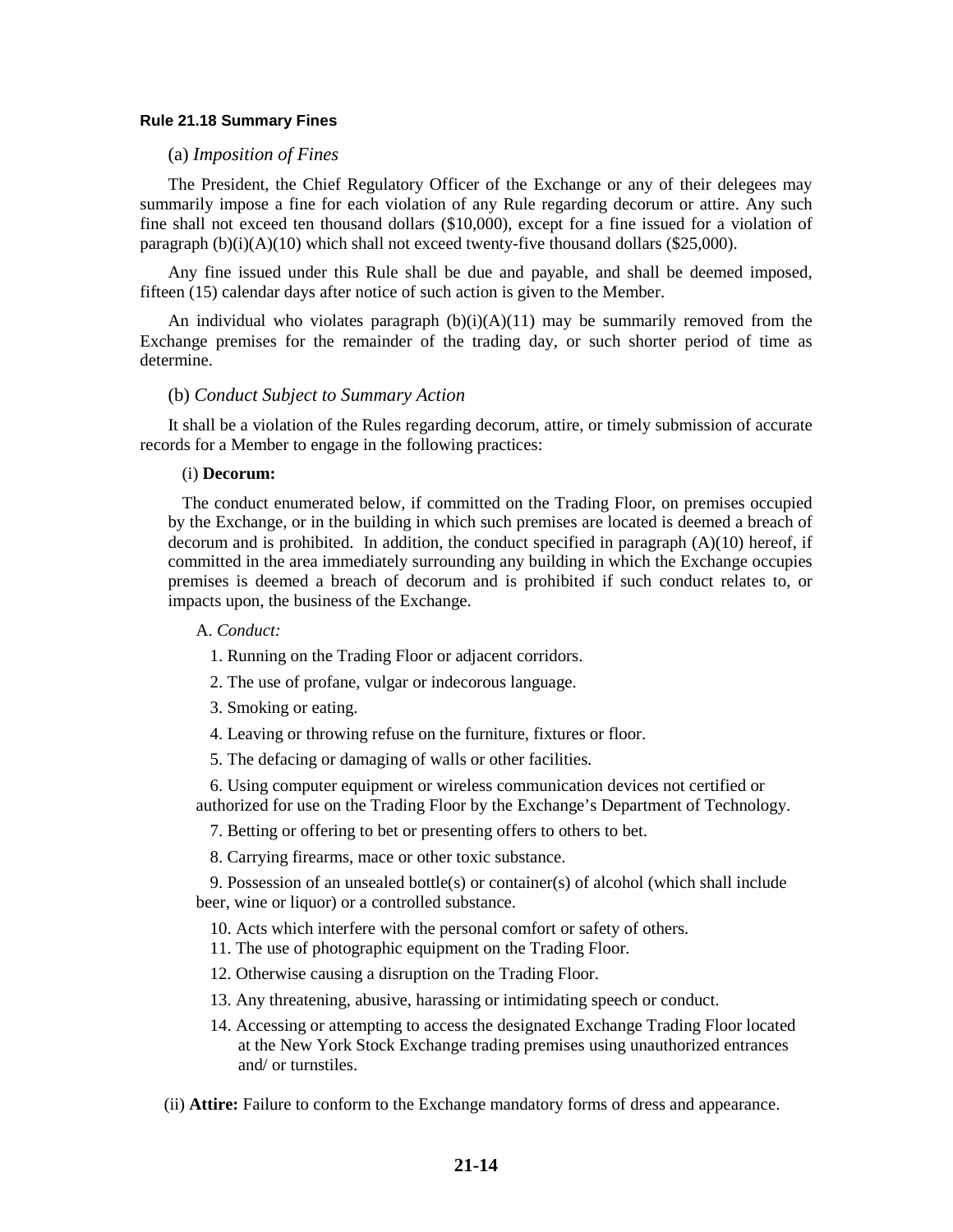#### **Rule 21.18 Summary Fines**

#### (a) *Imposition of Fines*

The President, the Chief Regulatory Officer of the Exchange or any of their delegees may summarily impose a fine for each violation of any Rule regarding decorum or attire. Any such fine shall not exceed ten thousand dollars (\$10,000), except for a fine issued for a violation of paragraph  $(b)(i)(A)(10)$  which shall not exceed twenty-five thousand dollars (\$25,000).

Any fine issued under this Rule shall be due and payable, and shall be deemed imposed, fifteen (15) calendar days after notice of such action is given to the Member.

An individual who violates paragraph  $(b)(i)(A)(11)$  may be summarily removed from the Exchange premises for the remainder of the trading day, or such shorter period of time as determine.

#### (b) *Conduct Subject to Summary Action*

It shall be a violation of the Rules regarding decorum, attire, or timely submission of accurate records for a Member to engage in the following practices:

#### (i) **Decorum:**

The conduct enumerated below, if committed on the Trading Floor, on premises occupied by the Exchange, or in the building in which such premises are located is deemed a breach of decorum and is prohibited. In addition, the conduct specified in paragraph  $(A)(10)$  hereof, if committed in the area immediately surrounding any building in which the Exchange occupies premises is deemed a breach of decorum and is prohibited if such conduct relates to, or impacts upon, the business of the Exchange.

#### A. *Conduct:*

- 1. Running on the Trading Floor or adjacent corridors.
- 2. The use of profane, vulgar or indecorous language.
- 3. Smoking or eating.
- 4. Leaving or throwing refuse on the furniture, fixtures or floor.
- 5. The defacing or damaging of walls or other facilities.

6. Using computer equipment or wireless communication devices not certified or authorized for use on the Trading Floor by the Exchange's Department of Technology.

7. Betting or offering to bet or presenting offers to others to bet.

8. Carrying firearms, mace or other toxic substance.

9. Possession of an unsealed bottle(s) or container(s) of alcohol (which shall include beer, wine or liquor) or a controlled substance.

10. Acts which interfere with the personal comfort or safety of others.

11. The use of photographic equipment on the Trading Floor.

12. Otherwise causing a disruption on the Trading Floor.

- 13. Any threatening, abusive, harassing or intimidating speech or conduct.
- 14. Accessing or attempting to access the designated Exchange Trading Floor located at the New York Stock Exchange trading premises using unauthorized entrances and/ or turnstiles.

(ii) **Attire:** Failure to conform to the Exchange mandatory forms of dress and appearance.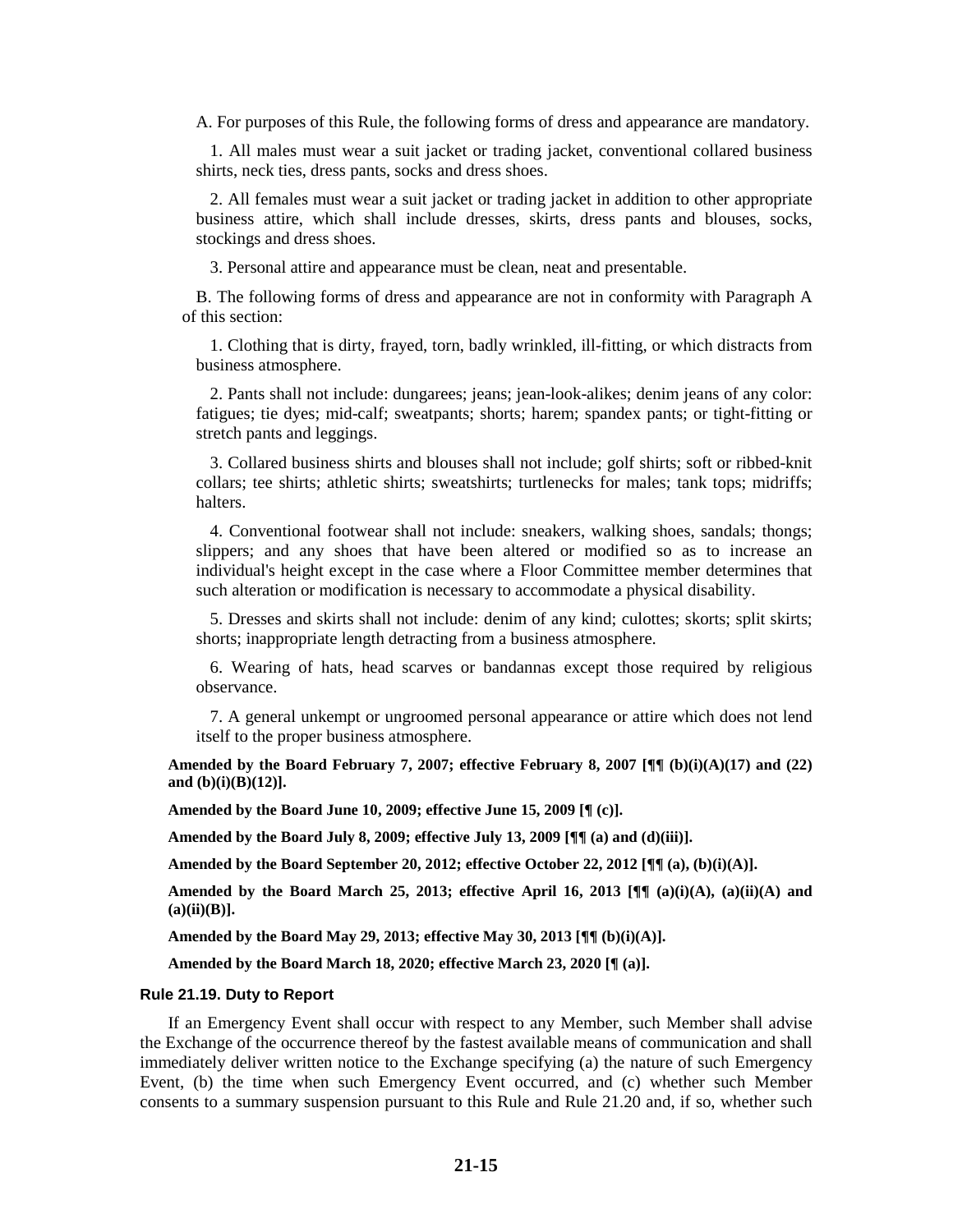A. For purposes of this Rule, the following forms of dress and appearance are mandatory.

1. All males must wear a suit jacket or trading jacket, conventional collared business shirts, neck ties, dress pants, socks and dress shoes.

2. All females must wear a suit jacket or trading jacket in addition to other appropriate business attire, which shall include dresses, skirts, dress pants and blouses, socks, stockings and dress shoes.

3. Personal attire and appearance must be clean, neat and presentable.

B. The following forms of dress and appearance are not in conformity with Paragraph A of this section:

1. Clothing that is dirty, frayed, torn, badly wrinkled, ill-fitting, or which distracts from business atmosphere.

2. Pants shall not include: dungarees; jeans; jean-look-alikes; denim jeans of any color: fatigues; tie dyes; mid-calf; sweatpants; shorts; harem; spandex pants; or tight-fitting or stretch pants and leggings.

3. Collared business shirts and blouses shall not include; golf shirts; soft or ribbed-knit collars; tee shirts; athletic shirts; sweatshirts; turtlenecks for males; tank tops; midriffs; halters.

4. Conventional footwear shall not include: sneakers, walking shoes, sandals; thongs; slippers; and any shoes that have been altered or modified so as to increase an individual's height except in the case where a Floor Committee member determines that such alteration or modification is necessary to accommodate a physical disability.

5. Dresses and skirts shall not include: denim of any kind; culottes; skorts; split skirts; shorts; inappropriate length detracting from a business atmosphere.

6. Wearing of hats, head scarves or bandannas except those required by religious observance.

7. A general unkempt or ungroomed personal appearance or attire which does not lend itself to the proper business atmosphere.

**Amended by the Board February 7, 2007; effective February 8, 2007 [¶¶ (b)(i)(A)(17) and (22) and (b)(i)(B)(12)].**

**Amended by the Board June 10, 2009; effective June 15, 2009 [¶ (c)].**

**Amended by the Board July 8, 2009; effective July 13, 2009 [¶¶ (a) and (d)(iii)].**

**Amended by the Board September 20, 2012; effective October 22, 2012 [¶¶ (a), (b)(i)(A)].**

**Amended by the Board March 25, 2013; effective April 16, 2013 [¶¶ (a)(i)(A), (a)(ii)(A) and (a)(ii)(B)].**

**Amended by the Board May 29, 2013; effective May 30, 2013 [¶¶ (b)(i)(A)].**

**Amended by the Board March 18, 2020; effective March 23, 2020 [¶ (a)].**

#### **Rule 21.19. Duty to Report**

If an Emergency Event shall occur with respect to any Member, such Member shall advise the Exchange of the occurrence thereof by the fastest available means of communication and shall immediately deliver written notice to the Exchange specifying (a) the nature of such Emergency Event, (b) the time when such Emergency Event occurred, and (c) whether such Member consents to a summary suspension pursuant to this Rule and Rule 21.20 and, if so, whether such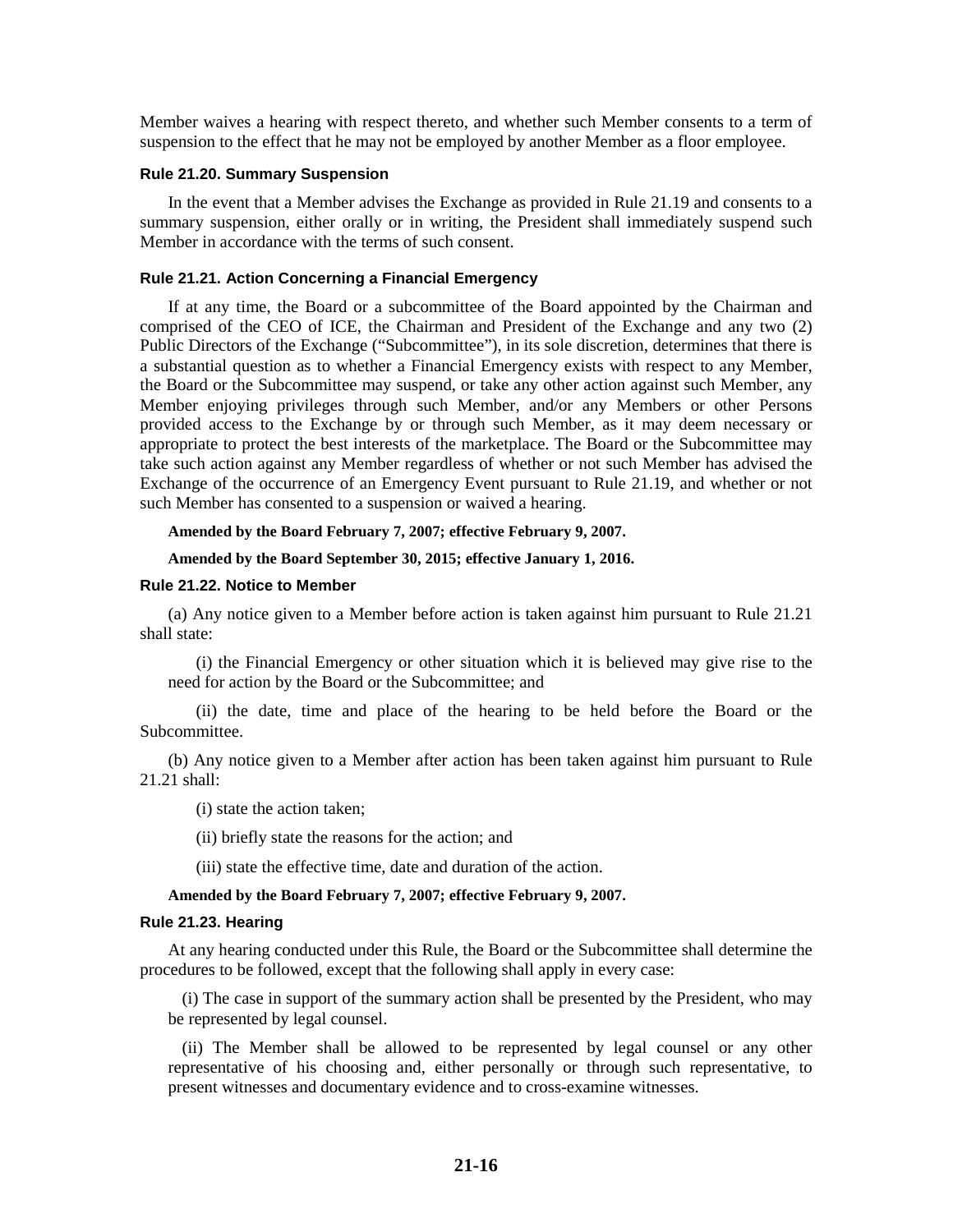Member waives a hearing with respect thereto, and whether such Member consents to a term of suspension to the effect that he may not be employed by another Member as a floor employee.

#### **Rule 21.20. Summary Suspension**

In the event that a Member advises the Exchange as provided in Rule 21.19 and consents to a summary suspension, either orally or in writing, the President shall immediately suspend such Member in accordance with the terms of such consent.

#### **Rule 21.21. Action Concerning a Financial Emergency**

If at any time, the Board or a subcommittee of the Board appointed by the Chairman and comprised of the CEO of ICE, the Chairman and President of the Exchange and any two (2) Public Directors of the Exchange ("Subcommittee"), in its sole discretion, determines that there is a substantial question as to whether a Financial Emergency exists with respect to any Member, the Board or the Subcommittee may suspend, or take any other action against such Member, any Member enjoying privileges through such Member, and/or any Members or other Persons provided access to the Exchange by or through such Member, as it may deem necessary or appropriate to protect the best interests of the marketplace. The Board or the Subcommittee may take such action against any Member regardless of whether or not such Member has advised the Exchange of the occurrence of an Emergency Event pursuant to Rule 21.19, and whether or not such Member has consented to a suspension or waived a hearing.

#### **Amended by the Board February 7, 2007; effective February 9, 2007.**

#### **Amended by the Board September 30, 2015; effective January 1, 2016.**

#### **Rule 21.22. Notice to Member**

(a) Any notice given to a Member before action is taken against him pursuant to Rule 21.21 shall state:

(i) the Financial Emergency or other situation which it is believed may give rise to the need for action by the Board or the Subcommittee; and

(ii) the date, time and place of the hearing to be held before the Board or the Subcommittee.

(b) Any notice given to a Member after action has been taken against him pursuant to Rule 21.21 shall:

(i) state the action taken;

(ii) briefly state the reasons for the action; and

(iii) state the effective time, date and duration of the action.

#### **Amended by the Board February 7, 2007; effective February 9, 2007.**

#### **Rule 21.23. Hearing**

At any hearing conducted under this Rule, the Board or the Subcommittee shall determine the procedures to be followed, except that the following shall apply in every case:

(i) The case in support of the summary action shall be presented by the President, who may be represented by legal counsel.

(ii) The Member shall be allowed to be represented by legal counsel or any other representative of his choosing and, either personally or through such representative, to present witnesses and documentary evidence and to cross-examine witnesses.